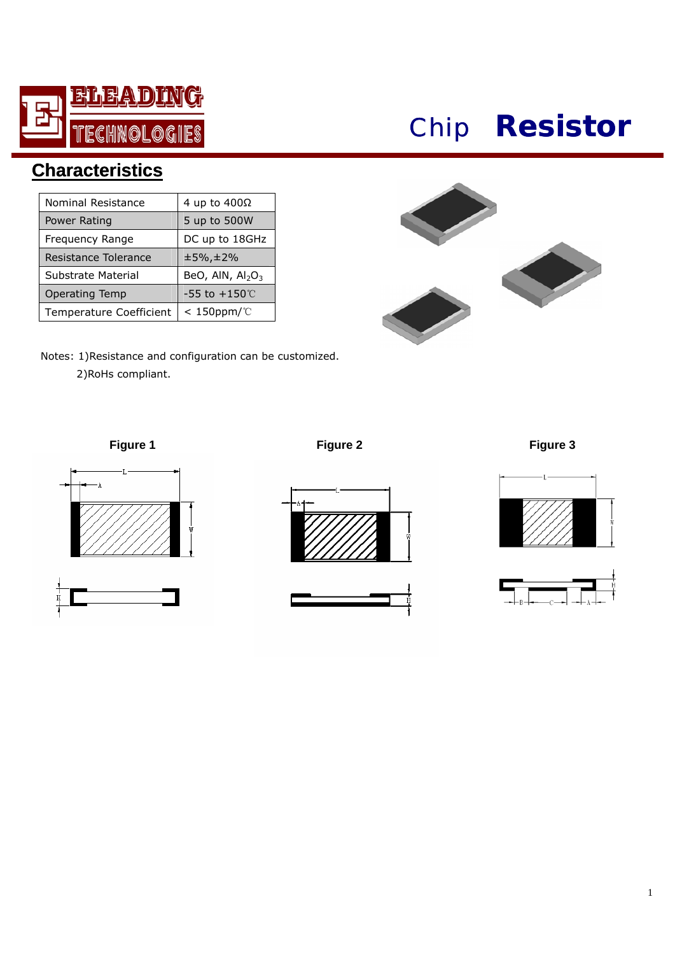

## *Chip* **Resistor**

## **Characteristics**

| Nominal Resistance      | 4 up to 400Ω                    |  |  |
|-------------------------|---------------------------------|--|--|
| Power Rating            | 5 up to 500W                    |  |  |
| Frequency Range         | DC up to 18GHz                  |  |  |
| Resistance Tolerance    | $±5\%$ , $±2\%$                 |  |  |
| Substrate Material      | BeO, AIN, $Al2O3$               |  |  |
| <b>Operating Temp</b>   | -55 to $+150^{\circ}\mathrm{C}$ |  |  |
| Temperature Coefficient | $< 150$ ppm/°C                  |  |  |



Notes: 1)Resistance and configuration can be customized.

2)RoHs compliant.



**Figure 1 Figure 2 Figure 3**